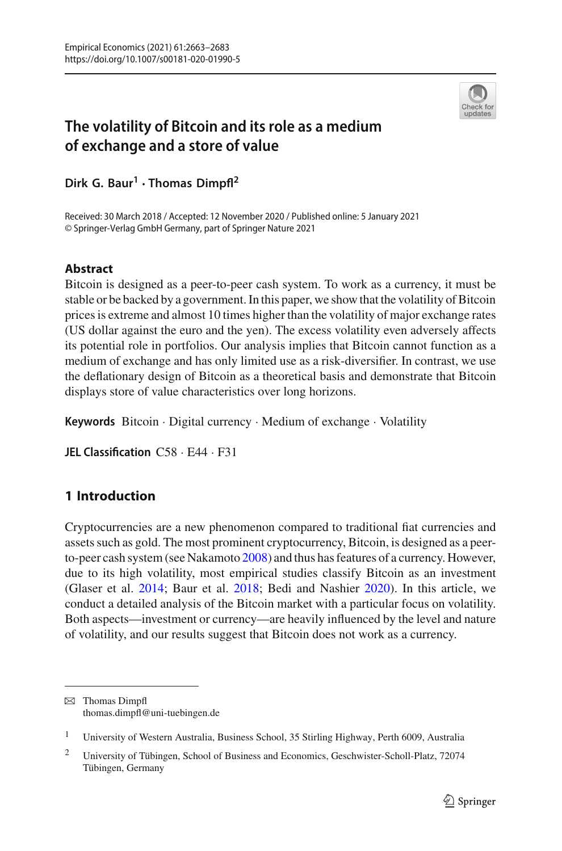

# **The volatility of Bitcoin and its role as a medium of exchange and a store of value**

**Dirk G. Baur<sup>1</sup> · Thomas Dimpfl<sup>2</sup>**

Received: 30 March 2018 / Accepted: 12 November 2020 / Published online: 5 January 2021 © Springer-Verlag GmbH Germany, part of Springer Nature 2021

## **Abstract**

Bitcoin is designed as a peer-to-peer cash system. To work as a currency, it must be stable or be backed by a government. In this paper, we show that the volatility of Bitcoin prices is extreme and almost 10 times higher than the volatility of major exchange rates (US dollar against the euro and the yen). The excess volatility even adversely affects its potential role in portfolios. Our analysis implies that Bitcoin cannot function as a medium of exchange and has only limited use as a risk-diversifier. In contrast, we use the deflationary design of Bitcoin as a theoretical basis and demonstrate that Bitcoin displays store of value characteristics over long horizons.

**Keywords** Bitcoin · Digital currency · Medium of exchange · Volatility

**JEL Classification** C58 · E44 · F31

## **1 Introduction**

Cryptocurrencies are a new phenomenon compared to traditional fiat currencies and assets such as gold. The most prominent cryptocurrency, Bitcoin, is designed as a peerto-peer cash system (see Nakamot[o](#page-20-0) [2008](#page-20-0)) and thus has features of a currency. However, due to its high volatility, most empirical studies classify Bitcoin as an investment (Glaser et al[.](#page-19-0) [2014](#page-19-0); Baur et al[.](#page-18-0) [2018;](#page-18-0) Bedi and Nashie[r](#page-19-1) [2020](#page-19-1)). In this article, we conduct a detailed analysis of the Bitcoin market with a particular focus on volatility. Both aspects—investment or currency—are heavily influenced by the level and nature of volatility, and our results suggest that Bitcoin does not work as a currency.

 $\boxtimes$  Thomas Dimpfl thomas.dimpfl@uni-tuebingen.de

<sup>&</sup>lt;sup>1</sup> University of Western Australia, Business School, 35 Stirling Highway, Perth 6009, Australia

<sup>2</sup> University of Tübingen, School of Business and Economics, Geschwister-Scholl-Platz, 72074 Tübingen, Germany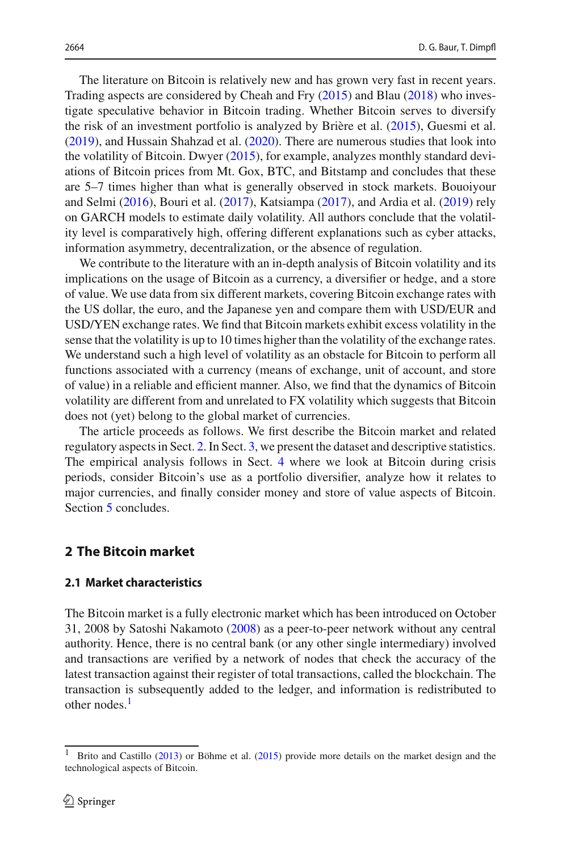The literature on Bitcoin is relatively new and has grown very fast in recent years. Trading aspects are considered by Cheah and Fr[y](#page-19-2) [\(2015](#page-19-2)) and Bla[u](#page-19-3) [\(2018\)](#page-19-3) who investigate speculative behavior in Bitcoin trading. Whether Bitcoin serves to diversify the risk of an investment portfolio is analyzed by Brière et al[.](#page-19-4) [\(2015\)](#page-19-4), Guesmi et al[.](#page-19-5) [\(2019\)](#page-19-5), and Hussain Shahzad et al[.](#page-19-6) [\(2020\)](#page-19-6). There are numerous studies that look into the volatility of Bitcoin. Dwye[r](#page-19-7) [\(2015](#page-19-7)), for example, analyzes monthly standard deviations of Bitcoin prices from Mt. Gox, BTC, and Bitstamp and concludes that these are 5–7 times higher than what is generally observed in stock markets. Bouoiyour and Selm[i](#page-19-8) [\(2016\)](#page-19-8), Bouri et al[.](#page-19-9) [\(2017\)](#page-19-9), Katsiamp[a](#page-19-10) [\(2017\)](#page-19-10), and Ardia et al[.](#page-18-1) [\(2019\)](#page-18-1) rely on GARCH models to estimate daily volatility. All authors conclude that the volatility level is comparatively high, offering different explanations such as cyber attacks, information asymmetry, decentralization, or the absence of regulation.

We contribute to the literature with an in-depth analysis of Bitcoin volatility and its implications on the usage of Bitcoin as a currency, a diversifier or hedge, and a store of value. We use data from six different markets, covering Bitcoin exchange rates with the US dollar, the euro, and the Japanese yen and compare them with USD/EUR and USD/YEN exchange rates. We find that Bitcoin markets exhibit excess volatility in the sense that the volatility is up to 10 times higher than the volatility of the exchange rates. We understand such a high level of volatility as an obstacle for Bitcoin to perform all functions associated with a currency (means of exchange, unit of account, and store of value) in a reliable and efficient manner. Also, we find that the dynamics of Bitcoin volatility are different from and unrelated to FX volatility which suggests that Bitcoin does not (yet) belong to the global market of currencies.

The article proceeds as follows. We first describe the Bitcoin market and related regulatory aspects in Sect. [2.](#page-1-0) In Sect. [3,](#page-4-0) we present the dataset and descriptive statistics. The empirical analysis follows in Sect. [4](#page-9-0) where we look at Bitcoin during crisis periods, consider Bitcoin's use as a portfolio diversifier, analyze how it relates to major currencies, and finally consider money and store of value aspects of Bitcoin. Section [5](#page-16-0) concludes.

## <span id="page-1-0"></span>**2 The Bitcoin market**

## **2.1 Market characteristics**

The Bitcoin market is a fully electronic market which has been introduced on October 31, 2008 by Satoshi Nakamot[o](#page-20-0) [\(2008\)](#page-20-0) as a peer-to-peer network without any central authority. Hence, there is no central bank (or any other single intermediary) involved and transactions are verified by a network of nodes that check the accuracy of the latest transaction against their register of total transactions, called the blockchain. The transaction is subsequently added to the ledger, and information is redistributed to other nodes.<sup>[1](#page-1-1)</sup>

<span id="page-1-1"></span><sup>1</sup> Brito and Castill[o](#page-19-11) [\(2013\)](#page-19-11) or Böhme et al. [\(2015\)](#page-19-12) provide more details on the market design and the technological aspects of Bitcoin.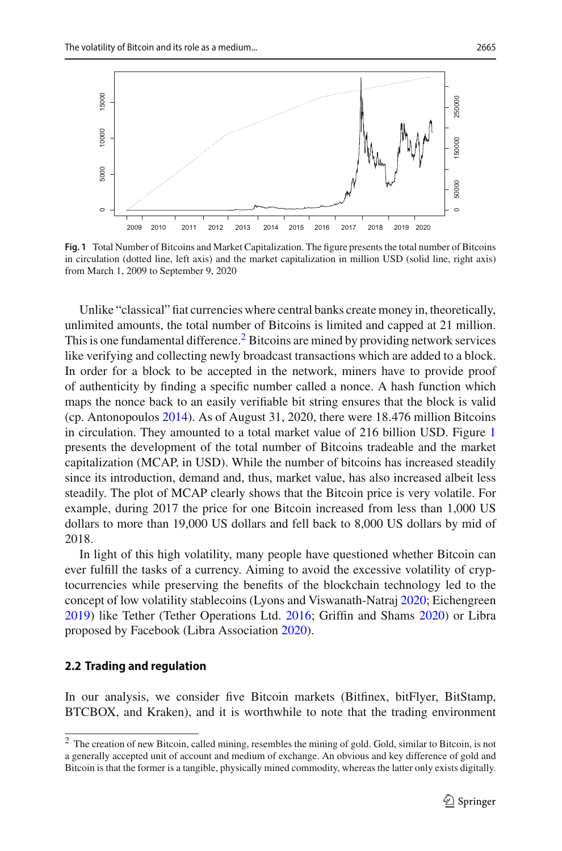

<span id="page-2-1"></span>**Fig. 1** Total Number of Bitcoins and Market Capitalization. The figure presents the total number of Bitcoins in circulation (dotted line, left axis) and the market capitalization in million USD (solid line, right axis) from March 1, 2009 to September 9, 2020

Unlike "classical" fiat currencies where central banks create money in, theoretically, unlimited amounts, the total number of Bitcoins is limited and capped at 21 million. This is one fundamental difference.<sup>2</sup> Bitcoins are mined by providing network services like verifying and collecting newly broadcast transactions which are added to a block. In order for a block to be accepted in the network, miners have to provide proof of authenticity by finding a specific number called a nonce. A hash function which maps the nonce back to an easily verifiable bit string ensures that the block is valid (cp. Antonopoulo[s](#page-18-2) [2014\)](#page-18-2). As of August 31, 2020, there were 18.476 million Bitcoins in circulation. They amounted to a total market value of 216 billion USD. Figure [1](#page-2-1) presents the development of the total number of Bitcoins tradeable and the market capitalization (MCAP, in USD). While the number of bitcoins has increased steadily since its introduction, demand and, thus, market value, has also increased albeit less steadily. The plot of MCAP clearly shows that the Bitcoin price is very volatile. For example, during 2017 the price for one Bitcoin increased from less than 1,000 US dollars to more than 19,000 US dollars and fell back to 8,000 US dollars by mid of 2018.

In light of this high volatility, many people have questioned whether Bitcoin can ever fulfill the tasks of a currency. Aiming to avoid the excessive volatility of cryptocurrencies while preserving the benefits of the blockchain technology led to the concept of low volatility stablecoins (Lyons and Viswanath-Natra[j](#page-20-1) [2020](#page-20-1); Eichengree[n](#page-19-13) [2019\)](#page-19-13) like Tether (Tether Operations Ltd[.](#page-20-2) [2016;](#page-20-2) Griffin and Sham[s](#page-19-14) [2020\)](#page-19-14) or Libra proposed by Facebook (Libra Associatio[n](#page-19-15) [2020](#page-19-15)).

#### **2.2 Trading and regulation**

In our analysis, we consider five Bitcoin markets (Bitfinex, bitFlyer, BitStamp, BTCBOX, and Kraken), and it is worthwhile to note that the trading environment

<span id="page-2-0"></span><sup>2</sup> The creation of new Bitcoin, called mining, resembles the mining of gold. Gold, similar to Bitcoin, is not a generally accepted unit of account and medium of exchange. An obvious and key difference of gold and Bitcoin is that the former is a tangible, physically mined commodity, whereas the latter only exists digitally.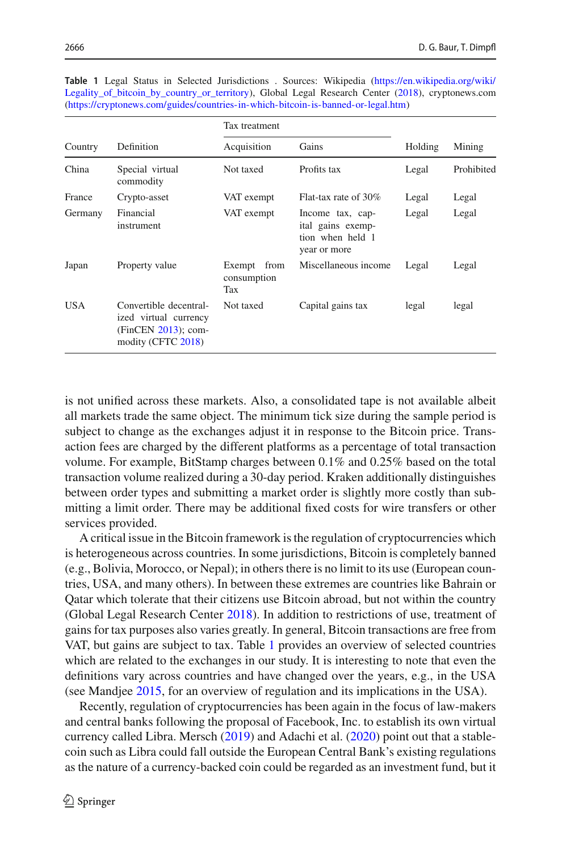|            |                                                                                                 | Tax treatment                        |                                                                           |         |            |  |
|------------|-------------------------------------------------------------------------------------------------|--------------------------------------|---------------------------------------------------------------------------|---------|------------|--|
| Country    | Definition                                                                                      | Acquisition                          | Gains                                                                     | Holding | Mining     |  |
| China      | Special virtual<br>commodity                                                                    | Not taxed                            | Profits tax                                                               | Legal   | Prohibited |  |
| France     | Crypto-asset                                                                                    | VAT exempt                           | Flat-tax rate of 30%                                                      | Legal   | Legal      |  |
| Germany    | Financial<br>instrument                                                                         | VAT exempt                           | Income tax, cap-<br>ital gains exemp-<br>tion when held 1<br>year or more | Legal   | Legal      |  |
| Japan      | Property value                                                                                  | from<br>Exempt<br>consumption<br>Tax | Miscellaneous income                                                      | Legal   | Legal      |  |
| <b>USA</b> | Convertible decentral-<br>ized virtual currency<br>$(FinCEN 2013)$ ; com-<br>modity (CFTC 2018) | Not taxed                            | Capital gains tax                                                         | legal   | legal      |  |

<span id="page-3-0"></span>**Table 1** Legal Status in Selected Jurisdictions . Sources: Wikipedia [\(https://en.wikipedia.org/wiki/](https://en.wikipedia.org/wiki/Legality_of_bitcoin_by_country_or_territory) [Legality\\_of\\_bitcoin\\_by\\_country\\_or\\_territory\)](https://en.wikipedia.org/wiki/Legality_of_bitcoin_by_country_or_territory), Global Legal Resea[r](#page-19-16)ch Center [\(2018](#page-19-16)), cryptonews.com [\(https://cryptonews.com/guides/countries-in-which-bitcoin-is-banned-or-legal.htm\)](https://cryptonews.com/guides/countries-in-which-bitcoin-is-banned-or-legal.htm)

is not unified across these markets. Also, a consolidated tape is not available albeit all markets trade the same object. The minimum tick size during the sample period is subject to change as the exchanges adjust it in response to the Bitcoin price. Transaction fees are charged by the different platforms as a percentage of total transaction volume. For example, BitStamp charges between 0.1% and 0.25% based on the total transaction volume realized during a 30-day period. Kraken additionally distinguishes between order types and submitting a market order is slightly more costly than submitting a limit order. There may be additional fixed costs for wire transfers or other services provided.

A critical issue in the Bitcoin framework is the regulation of cryptocurrencies which is heterogeneous across countries. In some jurisdictions, Bitcoin is completely banned (e.g., Bolivia, Morocco, or Nepal); in others there is no limit to its use (European countries, USA, and many others). In between these extremes are countries like Bahrain or Qatar which tolerate that their citizens use Bitcoin abroad, but not within the country (Global Legal Research Cente[r](#page-19-16) [2018\)](#page-19-16). In addition to restrictions of use, treatment of gains for tax purposes also varies greatly. In general, Bitcoin transactions are free from VAT, but gains are subject to tax. Table [1](#page-3-0) provides an overview of selected countries which are related to the exchanges in our study. It is interesting to note that even the definitions vary across countries and have changed over the years, e.g., in the USA (see Mandje[e](#page-20-3) [2015,](#page-20-3) for an overview of regulation and its implications in the USA).

Recently, regulation of cryptocurrencies has been again in the focus of law-makers and central banks following the proposal of Facebook, Inc. to establish its own virtual currency called Libra. Mersc[h](#page-20-4) [\(2019\)](#page-20-4) and Adachi et al[.](#page-18-3) [\(2020\)](#page-18-3) point out that a stablecoin such as Libra could fall outside the European Central Bank's existing regulations as the nature of a currency-backed coin could be regarded as an investment fund, but it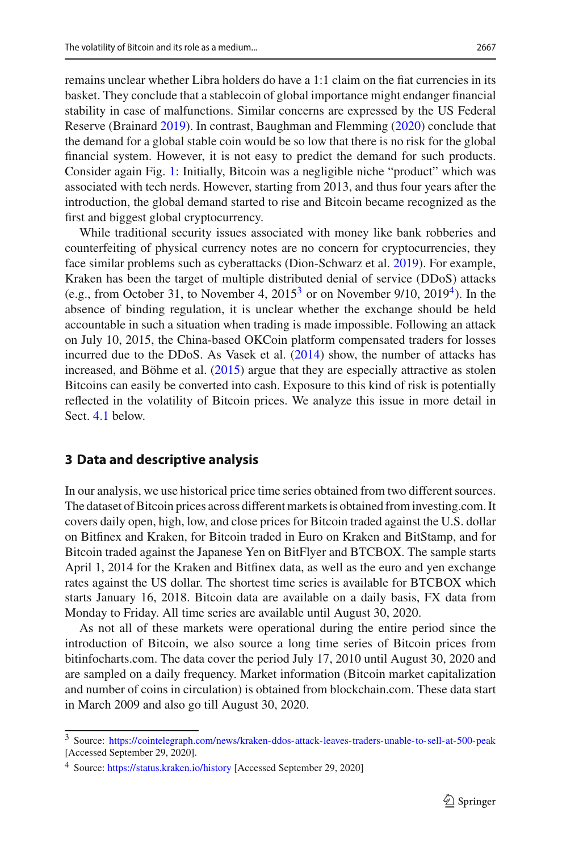remains unclear whether Libra holders do have a 1:1 claim on the fiat currencies in its basket. They conclude that a stablecoin of global importance might endanger financial stability in case of malfunctions. Similar concerns are expressed by the US Federal Reserve (Brainar[d](#page-19-19) [2019](#page-19-19)). In contrast, Baughman and Flemmin[g](#page-18-4) [\(2020](#page-18-4)) conclude that the demand for a global stable coin would be so low that there is no risk for the global financial system. However, it is not easy to predict the demand for such products. Consider again Fig. [1:](#page-2-1) Initially, Bitcoin was a negligible niche "product" which was associated with tech nerds. However, starting from 2013, and thus four years after the introduction, the global demand started to rise and Bitcoin became recognized as the first and biggest global cryptocurrency.

While traditional security issues associated with money like bank robberies and counterfeiting of physical currency notes are no concern for cryptocurrencies, they face similar problems such as cyberattacks (Dion-Schwarz et al[.](#page-19-20) [2019\)](#page-19-20). For example, Kraken has been the target of multiple distributed denial of service (DDoS) attacks (e.g., from October 31, to November 4,  $2015<sup>3</sup>$  or on November 9/10,  $2019<sup>4</sup>$ ). In the absence of binding regulation, it is unclear whether the exchange should be held accountable in such a situation when trading is made impossible. Following an attack on July 10, 2015, the China-based OKCoin platform compensated traders for losses incurred due to the DDoS[.](#page-20-5) As Vasek et al.  $(2014)$  $(2014)$  show, the number of attacks has increased, and Böhme et al[.](#page-19-12) [\(2015\)](#page-19-12) argue that they are especially attractive as stolen Bitcoins can easily be converted into cash. Exposure to this kind of risk is potentially reflected in the volatility of Bitcoin prices. We analyze this issue in more detail in Sect. [4.1](#page-9-1) below.

## <span id="page-4-0"></span>**3 Data and descriptive analysis**

In our analysis, we use historical price time series obtained from two different sources. The dataset of Bitcoin prices across different markets is obtained from investing.com. It covers daily open, high, low, and close prices for Bitcoin traded against the U.S. dollar on Bitfinex and Kraken, for Bitcoin traded in Euro on Kraken and BitStamp, and for Bitcoin traded against the Japanese Yen on BitFlyer and BTCBOX. The sample starts April 1, 2014 for the Kraken and Bitfinex data, as well as the euro and yen exchange rates against the US dollar. The shortest time series is available for BTCBOX which starts January 16, 2018. Bitcoin data are available on a daily basis, FX data from Monday to Friday. All time series are available until August 30, 2020.

As not all of these markets were operational during the entire period since the introduction of Bitcoin, we also source a long time series of Bitcoin prices from bitinfocharts.com. The data cover the period July 17, 2010 until August 30, 2020 and are sampled on a daily frequency. Market information (Bitcoin market capitalization and number of coins in circulation) is obtained from blockchain.com. These data start in March 2009 and also go till August 30, 2020.

<span id="page-4-1"></span><sup>3</sup> Source: <https://cointelegraph.com/news/kraken-ddos-attack-leaves-traders-unable-to-sell-at-500-peak> [Accessed September 29, 2020].

<span id="page-4-2"></span><sup>4</sup> Source: <https://status.kraken.io/history> [Accessed September 29, 2020]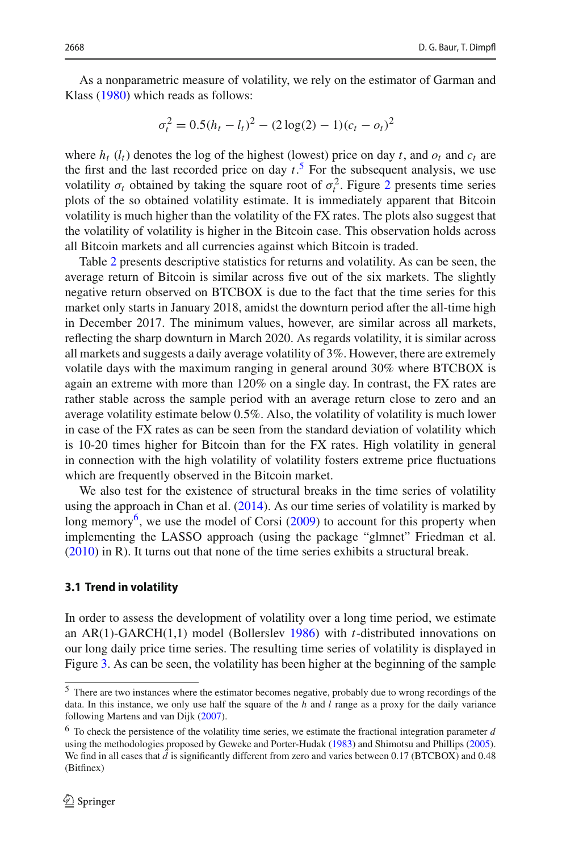As a nonparametric measure of volatility, we rely on the estimator of Garman and Klas[s](#page-19-21) [\(1980\)](#page-19-21) which reads as follows:

$$
\sigma_t^2 = 0.5(h_t - l_t)^2 - (2\log(2) - 1)(c_t - o_t)^2
$$

where  $h_t$  ( $l_t$ ) denotes the log of the highest (lowest) price on day  $t$ , and  $o_t$  and  $c_t$  are the first and the last recorded price on day  $t<sup>5</sup>$  $t<sup>5</sup>$  $t<sup>5</sup>$ . For the subsequent analysis, we use volatility  $\sigma_t$  obtained by taking the square root of  $\sigma_t^2$  $\sigma_t^2$ . Figure 2 presents time series plots of the so obtained volatility estimate. It is immediately apparent that Bitcoin volatility is much higher than the volatility of the FX rates. The plots also suggest that the volatility of volatility is higher in the Bitcoin case. This observation holds across all Bitcoin markets and all currencies against which Bitcoin is traded.

Table [2](#page-7-0) presents descriptive statistics for returns and volatility. As can be seen, the average return of Bitcoin is similar across five out of the six markets. The slightly negative return observed on BTCBOX is due to the fact that the time series for this market only starts in January 2018, amidst the downturn period after the all-time high in December 2017. The minimum values, however, are similar across all markets, reflecting the sharp downturn in March 2020. As regards volatility, it is similar across all markets and suggests a daily average volatility of 3%. However, there are extremely volatile days with the maximum ranging in general around 30% where BTCBOX is again an extreme with more than 120% on a single day. In contrast, the FX rates are rather stable across the sample period with an average return close to zero and an average volatility estimate below 0.5%. Also, the volatility of volatility is much lower in case of the FX rates as can be seen from the standard deviation of volatility which is 10-20 times higher for Bitcoin than for the FX rates. High volatility in general in connection with the high volatility of volatility fosters extreme price fluctuations which are frequently observed in the Bitcoin market.

We also test for the existence of structural breaks in the time series of volatility using the approach in Chan et al[.](#page-19-22)  $(2014)$  $(2014)$ . As our time series of volatility is marked by long memory<sup>6</sup>, we use the model of Cors[i](#page-19-23)  $(2009)$  $(2009)$  to account for this property when implementing the LASSO approach (using the package "glmnet" Friedman et al[.](#page-19-24) [\(2010\)](#page-19-24) in R). It turns out that none of the time series exhibits a structural break.

## **3.1 Trend in volatility**

In order to assess the development of volatility over a long time period, we estimate an AR(1)-GARCH(1,1) model (Bollersle[v](#page-19-25) [1986\)](#page-19-25) with *t*-distributed innovations on our long daily price time series. The resulting time series of volatility is displayed in Figure [3.](#page-7-1) As can be seen, the volatility has been higher at the beginning of the sample

<span id="page-5-0"></span><sup>5</sup> There are two instances where the estimator becomes negative, probably due to wrong recordings of the data. In this instance, we only use half the square of the *h* and *l* range as a proxy for the daily variance following Martens and van Dij[k](#page-20-6) [\(2007](#page-20-6)).

<span id="page-5-1"></span><sup>6</sup> To check the persistence of the volatility time series, we estimate the fractional integration parameter *d* using the methodologies proposed by Geweke and Porter-Huda[k](#page-19-26) [\(1983\)](#page-19-26) and Shimotsu and Phillip[s](#page-20-7) [\(2005](#page-20-7)). We find in all cases that  $\hat{d}$  is significantly different from zero and varies between 0.17 (BTCBOX) and 0.48 (Bitfinex)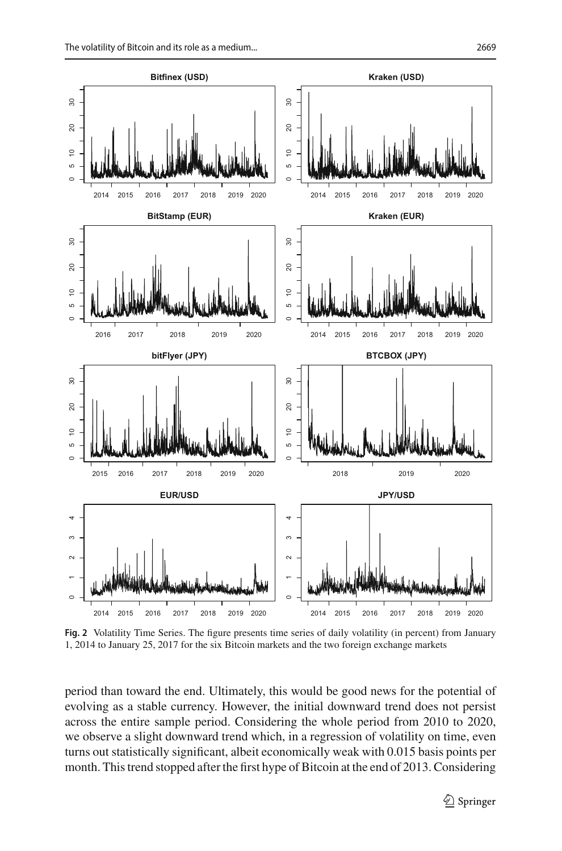$\tilde{a}$ 

 $\overline{a}$ 

 $\overline{20}$ 

8

 $\tilde{a}$ 

ဖ

 $\tilde{a}$ 

 $\overline{30}$ 

 $\circ$ 

s.

 $\tilde{=}$ 

 $\overline{20}$ 

8





<span id="page-6-0"></span>**Fig. 2** Volatility Time Series. The figure presents time series of daily volatility (in percent) from January 1, 2014 to January 25, 2017 for the six Bitcoin markets and the two foreign exchange markets

period than toward the end. Ultimately, this would be good news for the potential of evolving as a stable currency. However, the initial downward trend does not persist across the entire sample period. Considering the whole period from 2010 to 2020, we observe a slight downward trend which, in a regression of volatility on time, even turns out statistically significant, albeit economically weak with 0.015 basis points per month. This trend stopped after the first hype of Bitcoin at the end of 2013. Considering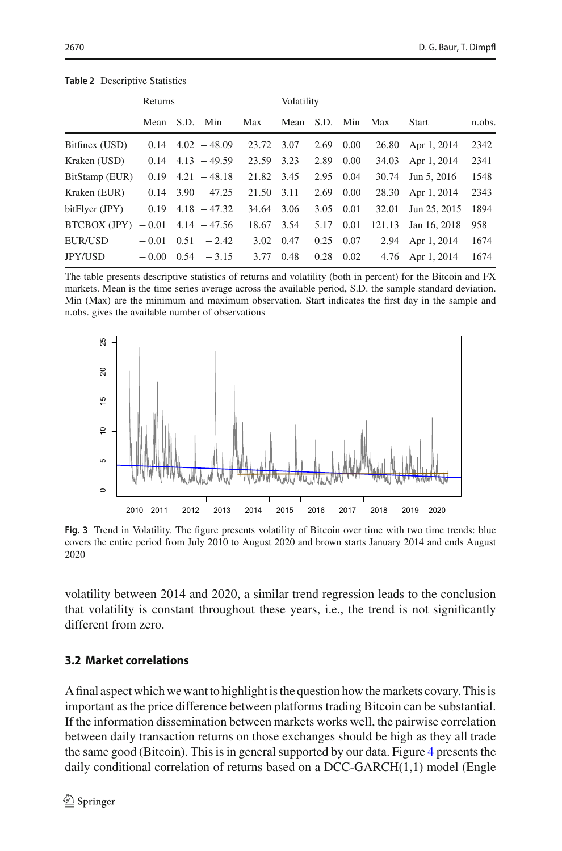|                | Returns |      |                       | Volatility |      |      |              |        |                  |        |
|----------------|---------|------|-----------------------|------------|------|------|--------------|--------|------------------|--------|
|                | Mean    |      | S.D. Min              | Max        | Mean |      | S.D. Min Max |        | <b>Start</b>     | n.obs. |
| Bitfinex (USD) | 0.14    |      | $4.02 - 48.09$        | 23.72      | 3.07 | 2.69 | 0.00         | 26.80  | Apr 1, 2014      | 2342   |
| Kraken (USD)   | 0.14    |      | $4.13 - 49.59$        | 23.59      | 3.23 | 2.89 | 0.00         | 34.03  | Apr 1, 2014      | 2341   |
| BitStamp (EUR) | 0.19    |      | $4.21 - 48.18$        | 21.82      | 3.45 | 2.95 | 0.04         | 30.74  | Jun 5, 2016      | 1548   |
| Kraken (EUR)   | 0.14    |      | $3.90 - 47.25$        | 21.50      | 3.11 | 2.69 | 0.00         | 28.30  | Apr 1, 2014      | 2343   |
| bitFlyer (JPY) | 0.19    |      | $4.18 - 47.32$        | 34.64      | 3.06 | 3.05 | 0.01         | 32.01  | Jun 25, 2015     | 1894   |
| BTCBOX (JPY)   |         |      | $-0.01$ 4.14 $-47.56$ | 18.67      | 3.54 | 5.17 | 0.01         | 121.13 | Jan 16, 2018     | 958    |
| EUR/USD        | $-0.01$ | 0.51 | $-2.42$               | 3.02       | 0.47 | 0.25 | 0.07         | 2.94   | Apr 1, 2014      | 1674   |
| <b>JPY/USD</b> | $-0.00$ | 0.54 | $-3.15$               | 3.77       | 0.48 | 0.28 | 0.02         |        | 4.76 Apr 1, 2014 | 1674   |

<span id="page-7-0"></span>**Table 2** Descriptive Statistics

The table presents descriptive statistics of returns and volatility (both in percent) for the Bitcoin and FX markets. Mean is the time series average across the available period, S.D. the sample standard deviation. Min (Max) are the minimum and maximum observation. Start indicates the first day in the sample and n.obs. gives the available number of observations



<span id="page-7-1"></span>**Fig. 3** Trend in Volatility. The figure presents volatility of Bitcoin over time with two time trends: blue covers the entire period from July 2010 to August 2020 and brown starts January 2014 and ends August 2020

volatility between 2014 and 2020, a similar trend regression leads to the conclusion that volatility is constant throughout these years, i.e., the trend is not significantly different from zero.

## **3.2 Market correlations**

A final aspect which we want to highlight is the question how the markets covary. This is important as the price difference between platforms trading Bitcoin can be substantial. If the information dissemination between markets works well, the pairwise correlation between daily transaction returns on those exchanges should be high as they all trade the same good (Bitcoin). This is in general supported by our data. Figure [4](#page-8-0) presents the daily conditional corr[e](#page-19-27)lation of returns based on a DCC-GARCH(1,1) model (Engle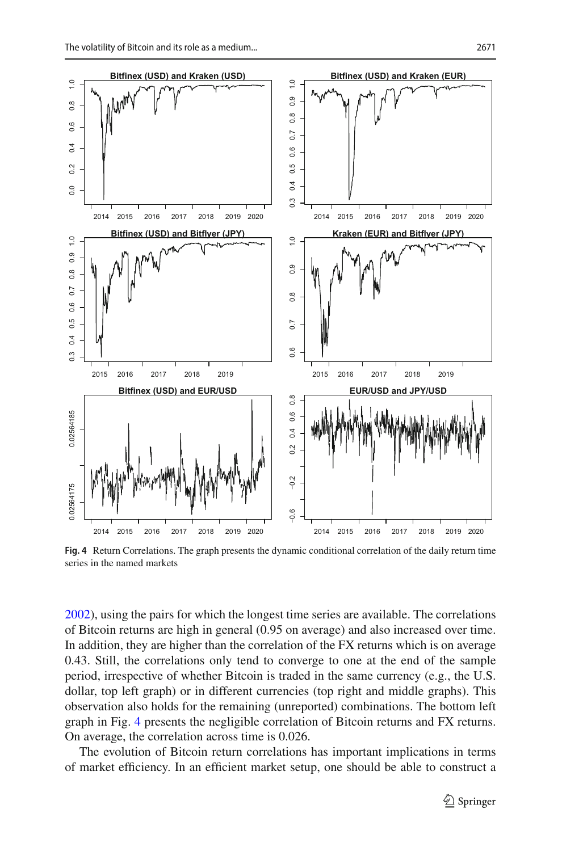

<span id="page-8-0"></span>**Fig. 4** Return Correlations. The graph presents the dynamic conditional correlation of the daily return time series in the named markets

[2002\)](#page-19-27), using the pairs for which the longest time series are available. The correlations of Bitcoin returns are high in general (0.95 on average) and also increased over time. In addition, they are higher than the correlation of the FX returns which is on average 0.43. Still, the correlations only tend to converge to one at the end of the sample period, irrespective of whether Bitcoin is traded in the same currency (e.g., the U.S. dollar, top left graph) or in different currencies (top right and middle graphs). This observation also holds for the remaining (unreported) combinations. The bottom left graph in Fig. [4](#page-8-0) presents the negligible correlation of Bitcoin returns and FX returns. On average, the correlation across time is 0.026.

The evolution of Bitcoin return correlations has important implications in terms of market efficiency. In an efficient market setup, one should be able to construct a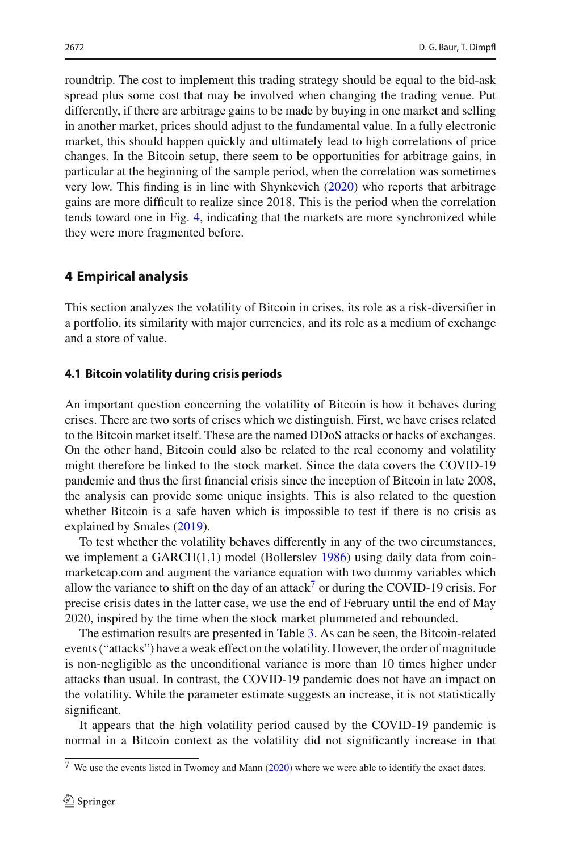roundtrip. The cost to implement this trading strategy should be equal to the bid-ask spread plus some cost that may be involved when changing the trading venue. Put differently, if there are arbitrage gains to be made by buying in one market and selling in another market, prices should adjust to the fundamental value. In a fully electronic market, this should happen quickly and ultimately lead to high correlations of price changes. In the Bitcoin setup, there seem to be opportunities for arbitrage gains, in particular at the beginning of the sample period, when the correlation was sometimes very low. This finding is in line with Shynkevic[h](#page-20-8) [\(2020\)](#page-20-8) who reports that arbitrage gains are more difficult to realize since 2018. This is the period when the correlation tends toward one in Fig. [4,](#page-8-0) indicating that the markets are more synchronized while they were more fragmented before.

## <span id="page-9-0"></span>**4 Empirical analysis**

This section analyzes the volatility of Bitcoin in crises, its role as a risk-diversifier in a portfolio, its similarity with major currencies, and its role as a medium of exchange and a store of value.

#### <span id="page-9-1"></span>**4.1 Bitcoin volatility during crisis periods**

An important question concerning the volatility of Bitcoin is how it behaves during crises. There are two sorts of crises which we distinguish. First, we have crises related to the Bitcoin market itself. These are the named DDoS attacks or hacks of exchanges. On the other hand, Bitcoin could also be related to the real economy and volatility might therefore be linked to the stock market. Since the data covers the COVID-19 pandemic and thus the first financial crisis since the inception of Bitcoin in late 2008, the analysis can provide some unique insights. This is also related to the question whether Bitcoin is a safe haven which is impossible to test if there is no crisis as explained by Smale[s](#page-20-9) [\(2019\)](#page-20-9).

To test whether the volatility behaves differently in any of the two circumstances, we implement a GARCH(1,1) model (Bollersle[v](#page-19-25) [1986](#page-19-25)) using daily data from coinmarketcap.com and augment the variance equation with two dummy variables which allow the variance to shift on the day of an attack<sup>[7](#page-9-2)</sup> or during the COVID-19 crisis. For precise crisis dates in the latter case, we use the end of February until the end of May 2020, inspired by the time when the stock market plummeted and rebounded.

The estimation results are presented in Table [3.](#page-10-0) As can be seen, the Bitcoin-related events ("attacks") have a weak effect on the volatility. However, the order of magnitude is non-negligible as the unconditional variance is more than 10 times higher under attacks than usual. In contrast, the COVID-19 pandemic does not have an impact on the volatility. While the parameter estimate suggests an increase, it is not statistically significant.

It appears that the high volatility period caused by the COVID-19 pandemic is normal in a Bitcoin context as the volatility did not significantly increase in that

<span id="page-9-2"></span> $7$  We use the eve[n](#page-20-10)ts listed in Twomey and Mann [\(2020](#page-20-10)) where we were able to identify the exact dates.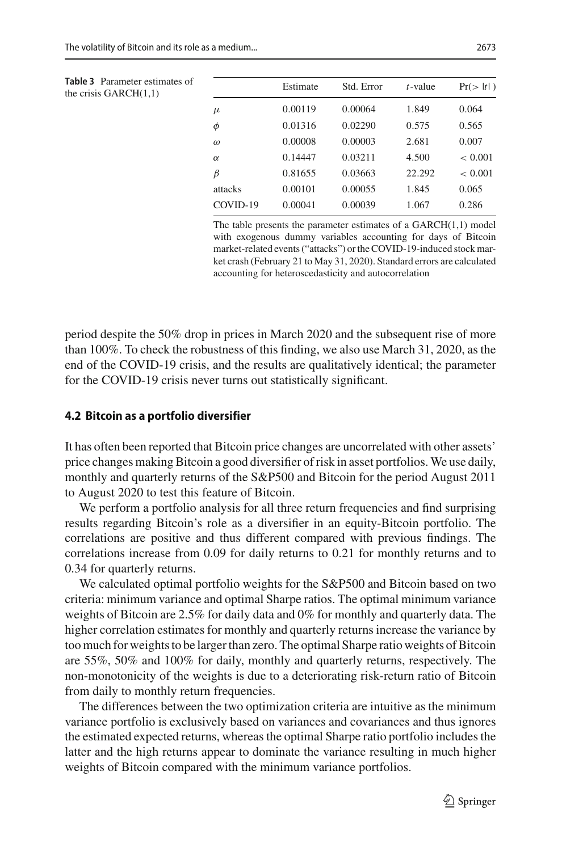<span id="page-10-0"></span>

| <b>Table 3</b> Parameter estimates of<br>the crisis $GARCH(1,1)$ |          | Estimate | Std. Error | $t$ -value | Pr(>  t ) |
|------------------------------------------------------------------|----------|----------|------------|------------|-----------|
|                                                                  | $\mu$    | 0.00119  | 0.00064    | 1.849      | 0.064     |
|                                                                  | φ        | 0.01316  | 0.02290    | 0.575      | 0.565     |
|                                                                  | $\omega$ | 0.00008  | 0.00003    | 2.681      | 0.007     |
|                                                                  | $\alpha$ | 0.14447  | 0.03211    | 4.500      | < 0.001   |
|                                                                  | β        | 0.81655  | 0.03663    | 22.292     | < 0.001   |
|                                                                  | attacks  | 0.00101  | 0.00055    | 1.845      | 0.065     |
|                                                                  | COVID-19 | 0.00041  | 0.00039    | 1.067      | 0.286     |
|                                                                  |          |          |            |            |           |

The table presents the parameter estimates of a GARCH(1,1) model with exogenous dummy variables accounting for days of Bitcoin market-related events ("attacks") or the COVID-19-induced stock market crash (February 21 to May 31, 2020). Standard errors are calculated accounting for heteroscedasticity and autocorrelation

period despite the 50% drop in prices in March 2020 and the subsequent rise of more than 100%. To check the robustness of this finding, we also use March 31, 2020, as the end of the COVID-19 crisis, and the results are qualitatively identical; the parameter for the COVID-19 crisis never turns out statistically significant.

#### **4.2 Bitcoin as a portfolio diversifier**

It has often been reported that Bitcoin price changes are uncorrelated with other assets' price changes making Bitcoin a good diversifier of risk in asset portfolios. We use daily, monthly and quarterly returns of the S&P500 and Bitcoin for the period August 2011 to August 2020 to test this feature of Bitcoin.

We perform a portfolio analysis for all three return frequencies and find surprising results regarding Bitcoin's role as a diversifier in an equity-Bitcoin portfolio. The correlations are positive and thus different compared with previous findings. The correlations increase from 0.09 for daily returns to 0.21 for monthly returns and to 0.34 for quarterly returns.

We calculated optimal portfolio weights for the S&P500 and Bitcoin based on two criteria: minimum variance and optimal Sharpe ratios. The optimal minimum variance weights of Bitcoin are 2.5% for daily data and 0% for monthly and quarterly data. The higher correlation estimates for monthly and quarterly returns increase the variance by too much for weights to be larger than zero. The optimal Sharpe ratio weights of Bitcoin are 55%, 50% and 100% for daily, monthly and quarterly returns, respectively. The non-monotonicity of the weights is due to a deteriorating risk-return ratio of Bitcoin from daily to monthly return frequencies.

The differences between the two optimization criteria are intuitive as the minimum variance portfolio is exclusively based on variances and covariances and thus ignores the estimated expected returns, whereas the optimal Sharpe ratio portfolio includes the latter and the high returns appear to dominate the variance resulting in much higher weights of Bitcoin compared with the minimum variance portfolios.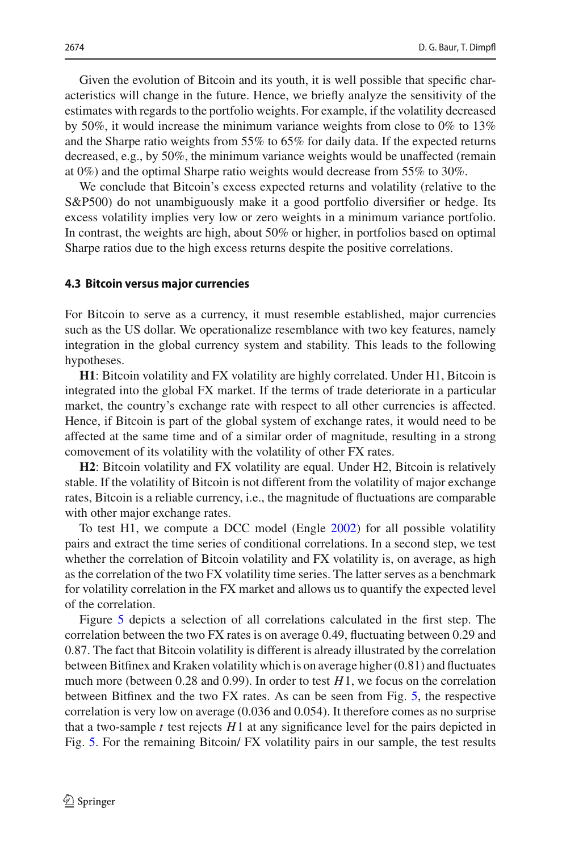Given the evolution of Bitcoin and its youth, it is well possible that specific characteristics will change in the future. Hence, we briefly analyze the sensitivity of the estimates with regards to the portfolio weights. For example, if the volatility decreased by 50%, it would increase the minimum variance weights from close to 0% to 13% and the Sharpe ratio weights from 55% to 65% for daily data. If the expected returns decreased, e.g., by 50%, the minimum variance weights would be unaffected (remain at 0%) and the optimal Sharpe ratio weights would decrease from 55% to 30%.

We conclude that Bitcoin's excess expected returns and volatility (relative to the S&P500) do not unambiguously make it a good portfolio diversifier or hedge. Its excess volatility implies very low or zero weights in a minimum variance portfolio. In contrast, the weights are high, about 50% or higher, in portfolios based on optimal Sharpe ratios due to the high excess returns despite the positive correlations.

#### **4.3 Bitcoin versus major currencies**

For Bitcoin to serve as a currency, it must resemble established, major currencies such as the US dollar. We operationalize resemblance with two key features, namely integration in the global currency system and stability. This leads to the following hypotheses.

**H1**: Bitcoin volatility and FX volatility are highly correlated. Under H1, Bitcoin is integrated into the global FX market. If the terms of trade deteriorate in a particular market, the country's exchange rate with respect to all other currencies is affected. Hence, if Bitcoin is part of the global system of exchange rates, it would need to be affected at the same time and of a similar order of magnitude, resulting in a strong comovement of its volatility with the volatility of other FX rates.

**H2**: Bitcoin volatility and FX volatility are equal. Under H2, Bitcoin is relatively stable. If the volatility of Bitcoin is not different from the volatility of major exchange rates, Bitcoin is a reliable currency, i.e., the magnitude of fluctuations are comparable with other major exchange rates.

To test H1, we compute a DCC model (Engl[e](#page-19-27) [2002\)](#page-19-27) for all possible volatility pairs and extract the time series of conditional correlations. In a second step, we test whether the correlation of Bitcoin volatility and FX volatility is, on average, as high as the correlation of the two FX volatility time series. The latter serves as a benchmark for volatility correlation in the FX market and allows us to quantify the expected level of the correlation.

Figure [5](#page-12-0) depicts a selection of all correlations calculated in the first step. The correlation between the two FX rates is on average 0.49, fluctuating between 0.29 and 0.87. The fact that Bitcoin volatility is different is already illustrated by the correlation between Bitfinex and Kraken volatility which is on average higher (0.81) and fluctuates much more (between 0.28 and 0.99). In order to test *H*1, we focus on the correlation between Bitfinex and the two FX rates. As can be seen from Fig. [5,](#page-12-0) the respective correlation is very low on average (0.036 and 0.054). It therefore comes as no surprise that a two-sample  $t$  test rejects  $H1$  at any significance level for the pairs depicted in Fig. [5.](#page-12-0) For the remaining Bitcoin/ FX volatility pairs in our sample, the test results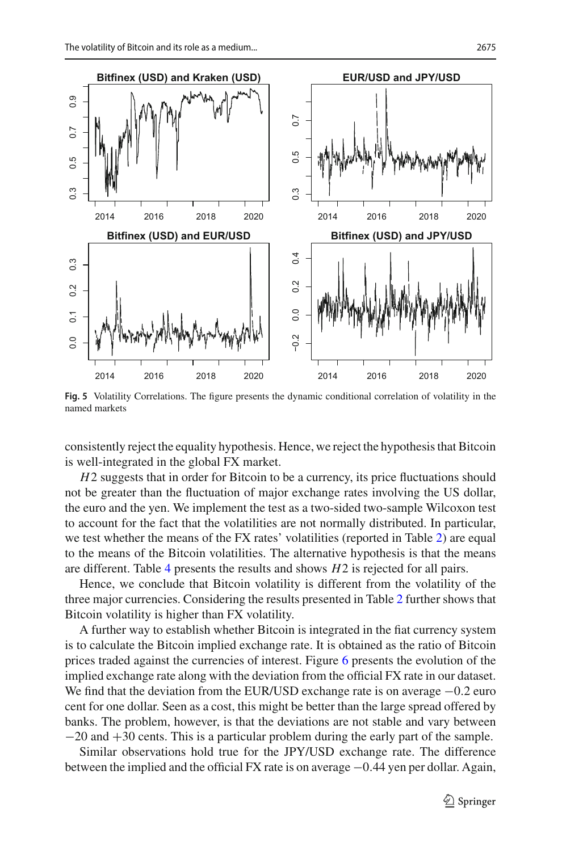

<span id="page-12-0"></span>**Fig. 5** Volatility Correlations. The figure presents the dynamic conditional correlation of volatility in the named markets

consistently reject the equality hypothesis. Hence, we reject the hypothesis that Bitcoin is well-integrated in the global FX market.

*H*2 suggests that in order for Bitcoin to be a currency, its price fluctuations should not be greater than the fluctuation of major exchange rates involving the US dollar, the euro and the yen. We implement the test as a two-sided two-sample Wilcoxon test to account for the fact that the volatilities are not normally distributed. In particular, we test whether the means of the FX rates' volatilities (reported in Table [2\)](#page-7-0) are equal to the means of the Bitcoin volatilities. The alternative hypothesis is that the means are different. Table [4](#page-13-0) presents the results and shows *H*2 is rejected for all pairs.

Hence, we conclude that Bitcoin volatility is different from the volatility of the three major currencies. Considering the results presented in Table [2](#page-7-0) further shows that Bitcoin volatility is higher than FX volatility.

A further way to establish whether Bitcoin is integrated in the fiat currency system is to calculate the Bitcoin implied exchange rate. It is obtained as the ratio of Bitcoin prices traded against the currencies of interest. Figure [6](#page-13-1) presents the evolution of the implied exchange rate along with the deviation from the official FX rate in our dataset. We find that the deviation from the EUR/USD exchange rate is on average  $-0.2$  euro cent for one dollar. Seen as a cost, this might be better than the large spread offered by banks. The problem, however, is that the deviations are not stable and vary between −20 and +30 cents. This is a particular problem during the early part of the sample.

Similar observations hold true for the JPY/USD exchange rate. The difference between the implied and the official FX rate is on average −0.44 yen per dollar. Again,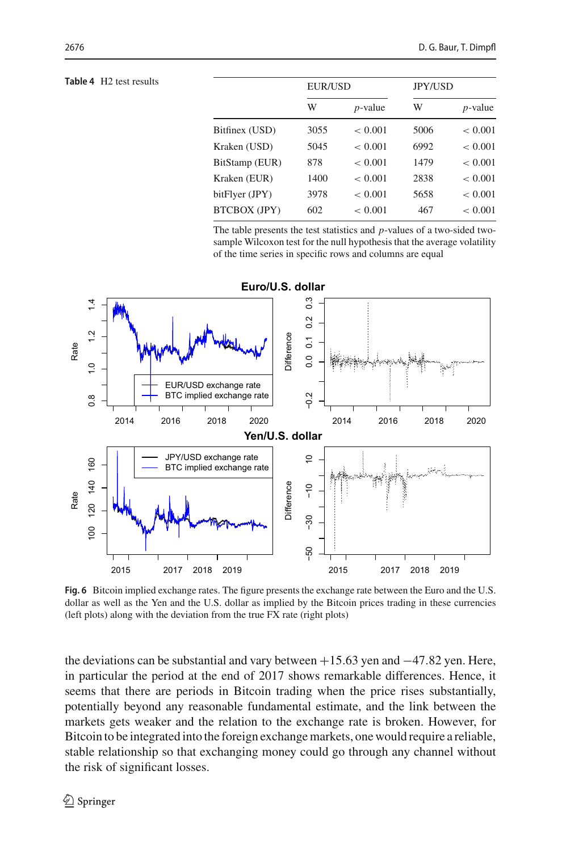#### <span id="page-13-0"></span>**Table 4** H<sub>2</sub> test results

|                     | <b>EUR/USD</b> |             | <b>JPY/USD</b> |             |
|---------------------|----------------|-------------|----------------|-------------|
|                     | W              | $p$ -value  | W              | $p$ -value  |
| Bitfinex (USD)      | 3055           | ${}< 0.001$ | 5006           | ${}< 0.001$ |
| Kraken (USD)        | 5045           | ${}< 0.001$ | 6992           | ${}< 0.001$ |
| BitStamp (EUR)      | 878            | < 0.001     | 1479           | < 0.001     |
| Kraken (EUR)        | 1400           | < 0.001     | 2838           | < 0.001     |
| bitFlyer (JPY)      | 3978           | < 0.001     | 5658           | ${}< 0.001$ |
| <b>BTCBOX (JPY)</b> | 602            | < 0.001     | 467            | < 0.001     |

The table presents the test statistics and *p*-values of a two-sided twosample Wilcoxon test for the null hypothesis that the average volatility of the time series in specific rows and columns are equal



<span id="page-13-1"></span>**Fig. 6** Bitcoin implied exchange rates. The figure presents the exchange rate between the Euro and the U.S. dollar as well as the Yen and the U.S. dollar as implied by the Bitcoin prices trading in these currencies (left plots) along with the deviation from the true FX rate (right plots)

the deviations can be substantial and vary between  $+15.63$  yen and  $-47.82$  yen. Here, in particular the period at the end of 2017 shows remarkable differences. Hence, it seems that there are periods in Bitcoin trading when the price rises substantially, potentially beyond any reasonable fundamental estimate, and the link between the markets gets weaker and the relation to the exchange rate is broken. However, for Bitcoin to be integrated into the foreign exchange markets, one would require a reliable, stable relationship so that exchanging money could go through any channel without the risk of significant losses.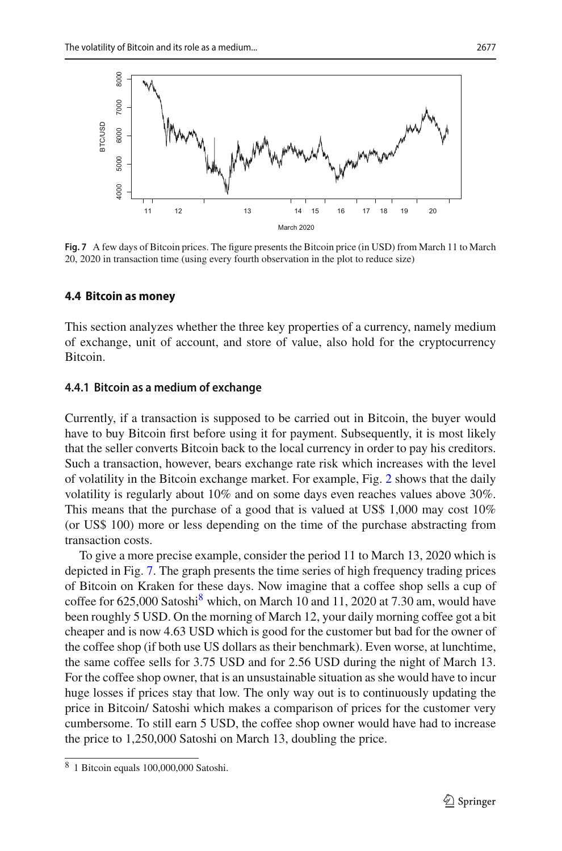

<span id="page-14-0"></span>**Fig. 7** A few days of Bitcoin prices. The figure presents the Bitcoin price (in USD) from March 11 to March 20, 2020 in transaction time (using every fourth observation in the plot to reduce size)

#### **4.4 Bitcoin as money**

This section analyzes whether the three key properties of a currency, namely medium of exchange, unit of account, and store of value, also hold for the cryptocurrency Bitcoin.

#### <span id="page-14-2"></span>**4.4.1 Bitcoin as a medium of exchange**

Currently, if a transaction is supposed to be carried out in Bitcoin, the buyer would have to buy Bitcoin first before using it for payment. Subsequently, it is most likely that the seller converts Bitcoin back to the local currency in order to pay his creditors. Such a transaction, however, bears exchange rate risk which increases with the level of volatility in the Bitcoin exchange market. For example, Fig. [2](#page-6-0) shows that the daily volatility is regularly about 10% and on some days even reaches values above 30%. This means that the purchase of a good that is valued at US\$ 1,000 may cost 10% (or US\$ 100) more or less depending on the time of the purchase abstracting from transaction costs.

To give a more precise example, consider the period 11 to March 13, 2020 which is depicted in Fig. [7.](#page-14-0) The graph presents the time series of high frequency trading prices of Bitcoin on Kraken for these days. Now imagine that a coffee shop sells a cup of coffee for  $625,000$  Satoshi<sup>[8](#page-14-1)</sup> which, on March 10 and 11, 2020 at 7.30 am, would have been roughly 5 USD. On the morning of March 12, your daily morning coffee got a bit cheaper and is now 4.63 USD which is good for the customer but bad for the owner of the coffee shop (if both use US dollars as their benchmark). Even worse, at lunchtime, the same coffee sells for 3.75 USD and for 2.56 USD during the night of March 13. For the coffee shop owner, that is an unsustainable situation as she would have to incur huge losses if prices stay that low. The only way out is to continuously updating the price in Bitcoin/ Satoshi which makes a comparison of prices for the customer very cumbersome. To still earn 5 USD, the coffee shop owner would have had to increase the price to 1,250,000 Satoshi on March 13, doubling the price.

<span id="page-14-1"></span><sup>8</sup> 1 Bitcoin equals 100,000,000 Satoshi.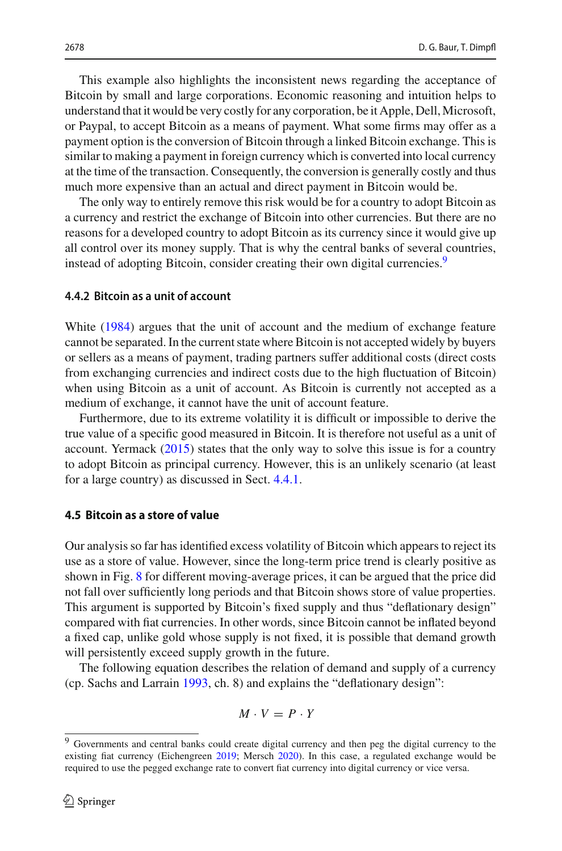This example also highlights the inconsistent news regarding the acceptance of Bitcoin by small and large corporations. Economic reasoning and intuition helps to understand that it would be very costly for any corporation, be it Apple, Dell,Microsoft, or Paypal, to accept Bitcoin as a means of payment. What some firms may offer as a payment option is the conversion of Bitcoin through a linked Bitcoin exchange. This is similar to making a payment in foreign currency which is converted into local currency at the time of the transaction. Consequently, the conversion is generally costly and thus much more expensive than an actual and direct payment in Bitcoin would be.

The only way to entirely remove this risk would be for a country to adopt Bitcoin as a currency and restrict the exchange of Bitcoin into other currencies. But there are no reasons for a developed country to adopt Bitcoin as its currency since it would give up all control over its money supply. That is why the central banks of several countries, instead of adopting Bitcoin, consider creating their own digital currencies.<sup>[9](#page-15-0)</sup>

#### **4.4.2 Bitcoin as a unit of account**

Whit[e](#page-20-11) [\(1984\)](#page-20-11) argues that the unit of account and the medium of exchange feature cannot be separated. In the current state where Bitcoin is not accepted widely by buyers or sellers as a means of payment, trading partners suffer additional costs (direct costs from exchanging currencies and indirect costs due to the high fluctuation of Bitcoin) when using Bitcoin as a unit of account. As Bitcoin is currently not accepted as a medium of exchange, it cannot have the unit of account feature.

Furthermore, due to its extreme volatility it is difficult or impossible to derive the true value of a specific good measured in Bitcoin. It is therefore not useful as a unit of account. Yermac[k](#page-20-12) [\(2015\)](#page-20-12) states that the only way to solve this issue is for a country to adopt Bitcoin as principal currency. However, this is an unlikely scenario (at least for a large country) as discussed in Sect. [4.4.1.](#page-14-2)

#### **4.5 Bitcoin as a store of value**

Our analysis so far has identified excess volatility of Bitcoin which appears to reject its use as a store of value. However, since the long-term price trend is clearly positive as shown in Fig. [8](#page-16-1) for different moving-average prices, it can be argued that the price did not fall over sufficiently long periods and that Bitcoin shows store of value properties. This argument is supported by Bitcoin's fixed supply and thus "deflationary design" compared with fiat currencies. In other words, since Bitcoin cannot be inflated beyond a fixed cap, unlike gold whose supply is not fixed, it is possible that demand growth will persistently exceed supply growth in the future.

The following equation describes the relation of demand and supply of a currency (cp. Sachs and Larrai[n](#page-20-13) [1993,](#page-20-13) ch. 8) and explains the "deflationary design":

$$
M \cdot V = P \cdot Y
$$

<span id="page-15-0"></span><sup>9</sup> Governments and central banks could create digital currency and then peg the digital currency to the existing fiat currency (Eichengree[n](#page-19-13) [2019](#page-19-13); Mersc[h](#page-20-14) [2020\)](#page-20-14). In this case, a regulated exchange would be required to use the pegged exchange rate to convert fiat currency into digital currency or vice versa.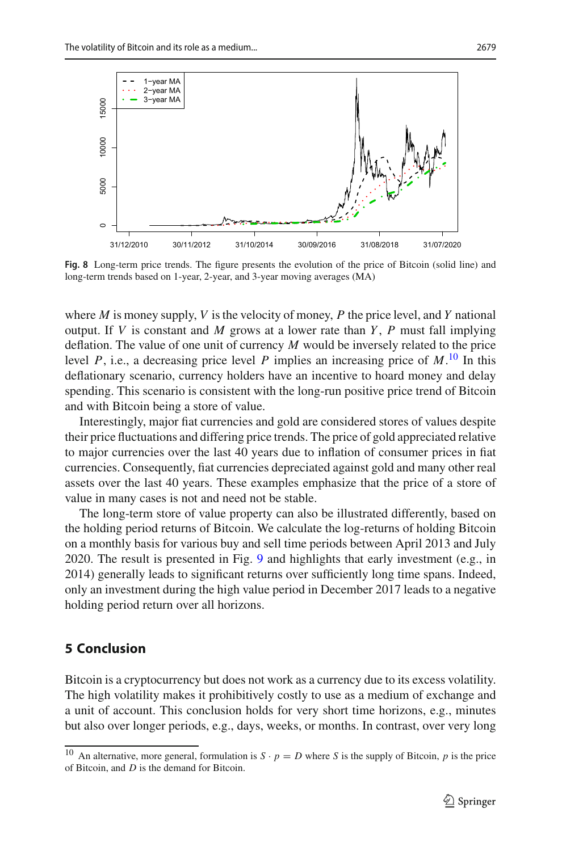

<span id="page-16-1"></span>**Fig. 8** Long-term price trends. The figure presents the evolution of the price of Bitcoin (solid line) and long-term trends based on 1-year, 2-year, and 3-year moving averages (MA)

where *M* is money supply, *V* is the velocity of money, *P* the price level, and *Y* national output. If *V* is constant and *M* grows at a lower rate than *Y* , *P* must fall implying deflation. The value of one unit of currency *M* would be inversely related to the price level *P*, i.e., a decreasing price level *P* implies an increasing price of *M*. [10](#page-16-2) In this deflationary scenario, currency holders have an incentive to hoard money and delay spending. This scenario is consistent with the long-run positive price trend of Bitcoin and with Bitcoin being a store of value.

Interestingly, major fiat currencies and gold are considered stores of values despite their price fluctuations and differing price trends. The price of gold appreciated relative to major currencies over the last 40 years due to inflation of consumer prices in fiat currencies. Consequently, fiat currencies depreciated against gold and many other real assets over the last 40 years. These examples emphasize that the price of a store of value in many cases is not and need not be stable.

The long-term store of value property can also be illustrated differently, based on the holding period returns of Bitcoin. We calculate the log-returns of holding Bitcoin on a monthly basis for various buy and sell time periods between April 2013 and July 2020. The result is presented in Fig. [9](#page-17-0) and highlights that early investment (e.g., in 2014) generally leads to significant returns over sufficiently long time spans. Indeed, only an investment during the high value period in December 2017 leads to a negative holding period return over all horizons.

## <span id="page-16-0"></span>**5 Conclusion**

Bitcoin is a cryptocurrency but does not work as a currency due to its excess volatility. The high volatility makes it prohibitively costly to use as a medium of exchange and a unit of account. This conclusion holds for very short time horizons, e.g., minutes but also over longer periods, e.g., days, weeks, or months. In contrast, over very long

<span id="page-16-2"></span><sup>&</sup>lt;sup>10</sup> An alternative, more general, formulation is  $S \cdot p = D$  where *S* is the supply of Bitcoin, *p* is the price of Bitcoin, and *D* is the demand for Bitcoin.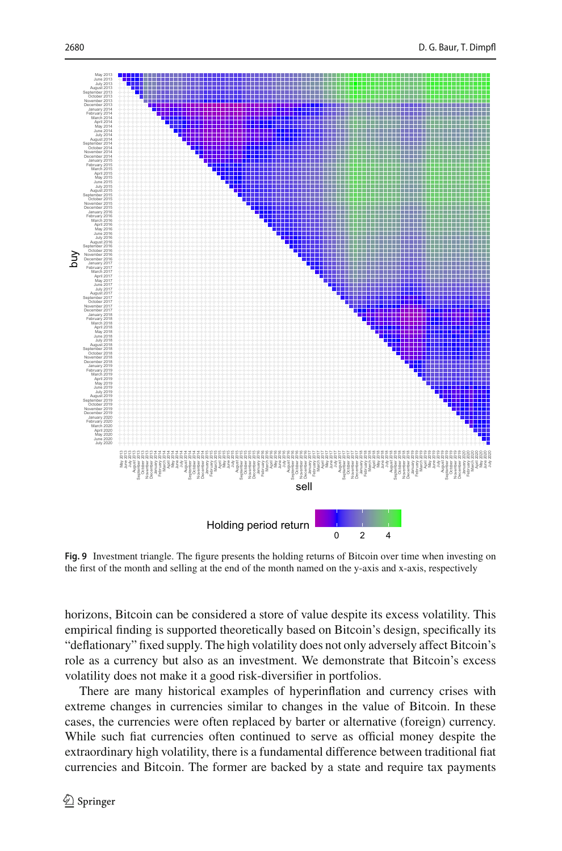

<span id="page-17-0"></span>**Fig. 9** Investment triangle. The figure presents the holding returns of Bitcoin over time when investing on the first of the month and selling at the end of the month named on the y-axis and x-axis, respectively

horizons, Bitcoin can be considered a store of value despite its excess volatility. This empirical finding is supported theoretically based on Bitcoin's design, specifically its "deflationary" fixed supply. The high volatility does not only adversely affect Bitcoin's role as a currency but also as an investment. We demonstrate that Bitcoin's excess volatility does not make it a good risk-diversifier in portfolios.

There are many historical examples of hyperinflation and currency crises with extreme changes in currencies similar to changes in the value of Bitcoin. In these cases, the currencies were often replaced by barter or alternative (foreign) currency. While such fiat currencies often continued to serve as official money despite the extraordinary high volatility, there is a fundamental difference between traditional fiat currencies and Bitcoin. The former are backed by a state and require tax payments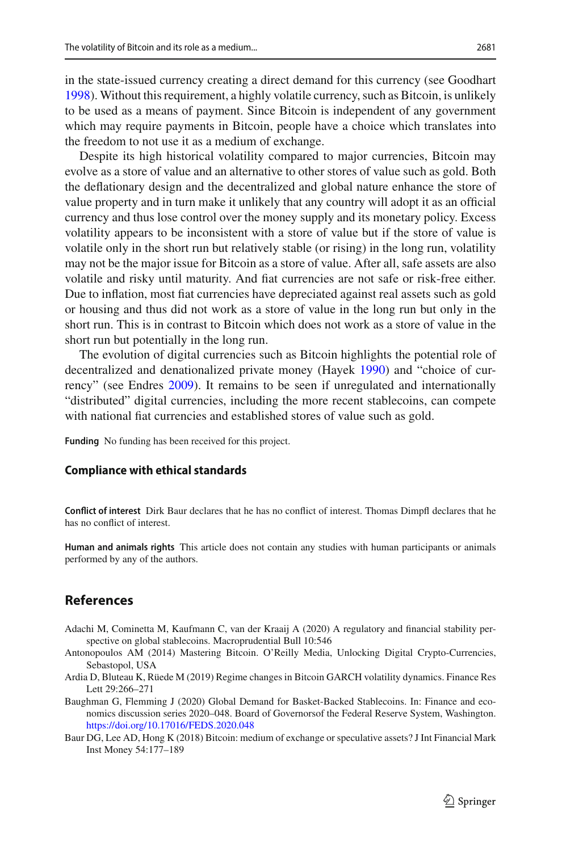in the state-issued currency creating a direct demand for this currency (see Goodhar[t](#page-19-28) [1998\)](#page-19-28). Without this requirement, a highly volatile currency, such as Bitcoin, is unlikely to be used as a means of payment. Since Bitcoin is independent of any government which may require payments in Bitcoin, people have a choice which translates into the freedom to not use it as a medium of exchange.

Despite its high historical volatility compared to major currencies, Bitcoin may evolve as a store of value and an alternative to other stores of value such as gold. Both the deflationary design and the decentralized and global nature enhance the store of value property and in turn make it unlikely that any country will adopt it as an official currency and thus lose control over the money supply and its monetary policy. Excess volatility appears to be inconsistent with a store of value but if the store of value is volatile only in the short run but relatively stable (or rising) in the long run, volatility may not be the major issue for Bitcoin as a store of value. After all, safe assets are also volatile and risky until maturity. And fiat currencies are not safe or risk-free either. Due to inflation, most fiat currencies have depreciated against real assets such as gold or housing and thus did not work as a store of value in the long run but only in the short run. This is in contrast to Bitcoin which does not work as a store of value in the short run but potentially in the long run.

The evolution of digital currencies such as Bitcoin highlights the potential role of decentralized and denationalized private money (Haye[k](#page-19-29) [1990](#page-19-29)) and "choice of currency" (see Endre[s](#page-19-30) [2009\)](#page-19-30). It remains to be seen if unregulated and internationally "distributed" digital currencies, including the more recent stablecoins, can compete with national fiat currencies and established stores of value such as gold.

**Funding** No funding has been received for this project.

#### **Compliance with ethical standards**

**Conflict of interest** Dirk Baur declares that he has no conflict of interest. Thomas Dimpfl declares that he has no conflict of interest.

**Human and animals rights** This article does not contain any studies with human participants or animals performed by any of the authors.

## **References**

- <span id="page-18-3"></span>Adachi M, Cominetta M, Kaufmann C, van der Kraaij A (2020) A regulatory and financial stability perspective on global stablecoins. Macroprudential Bull 10:546
- <span id="page-18-2"></span>Antonopoulos AM (2014) Mastering Bitcoin. O'Reilly Media, Unlocking Digital Crypto-Currencies, Sebastopol, USA
- <span id="page-18-1"></span>Ardia D, Bluteau K, Rüede M (2019) Regime changes in Bitcoin GARCH volatility dynamics. Finance Res Lett 29:266–271
- <span id="page-18-4"></span>Baughman G, Flemming J (2020) Global Demand for Basket-Backed Stablecoins. In: Finance and economics discussion series 2020–048. Board of Governorsof the Federal Reserve System, Washington. <https://doi.org/10.17016/FEDS.2020.048>
- <span id="page-18-0"></span>Baur DG, Lee AD, Hong K (2018) Bitcoin: medium of exchange or speculative assets? J Int Financial Mark Inst Money 54:177–189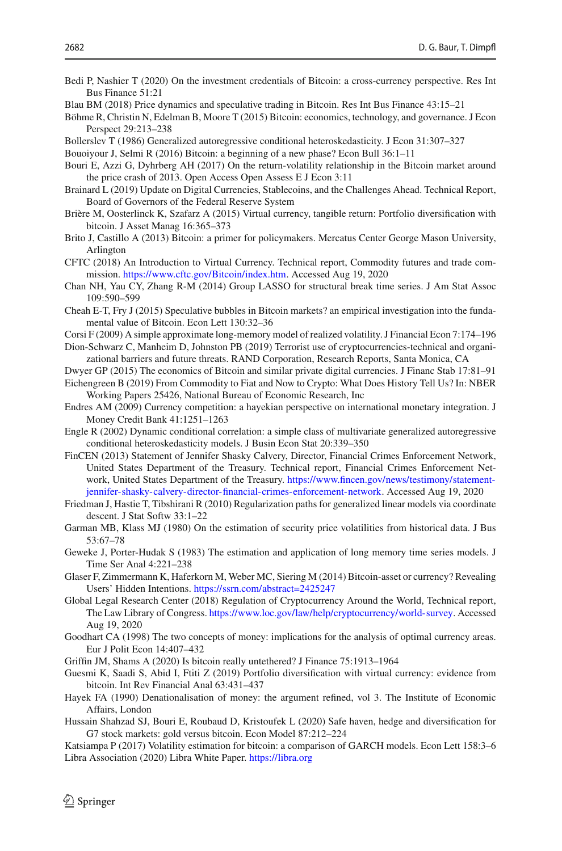- <span id="page-19-1"></span>Bedi P, Nashier T (2020) On the investment credentials of Bitcoin: a cross-currency perspective. Res Int Bus Finance 51:21
- <span id="page-19-3"></span>Blau BM (2018) Price dynamics and speculative trading in Bitcoin. Res Int Bus Finance 43:15–21
- <span id="page-19-12"></span>Böhme R, Christin N, Edelman B, Moore T (2015) Bitcoin: economics, technology, and governance. J Econ Perspect 29:213–238
- <span id="page-19-25"></span>Bollerslev T (1986) Generalized autoregressive conditional heteroskedasticity. J Econ 31:307–327
- <span id="page-19-8"></span>Bouoiyour J, Selmi R (2016) Bitcoin: a beginning of a new phase? Econ Bull 36:1–11

<span id="page-19-9"></span>Bouri E, Azzi G, Dyhrberg AH (2017) On the return-volatility relationship in the Bitcoin market around the price crash of 2013. Open Access Open Assess E J Econ 3:11

- <span id="page-19-19"></span>Brainard L (2019) Update on Digital Currencies, Stablecoins, and the Challenges Ahead. Technical Report, Board of Governors of the Federal Reserve System
- <span id="page-19-4"></span>Brière M, Oosterlinck K, Szafarz A (2015) Virtual currency, tangible return: Portfolio diversification with bitcoin. J Asset Manag 16:365–373
- <span id="page-19-11"></span>Brito J, Castillo A (2013) Bitcoin: a primer for policymakers. Mercatus Center George Mason University, Arlington
- <span id="page-19-18"></span>CFTC (2018) An Introduction to Virtual Currency. Technical report, Commodity futures and trade commission. [https://www.cftc.gov/Bitcoin/index.htm.](https://www.cftc.gov/Bitcoin/index.htm) Accessed Aug 19, 2020
- <span id="page-19-22"></span>Chan NH, Yau CY, Zhang R-M (2014) Group LASSO for structural break time series. J Am Stat Assoc 109:590–599
- <span id="page-19-2"></span>Cheah E-T, Fry J (2015) Speculative bubbles in Bitcoin markets? an empirical investigation into the fundamental value of Bitcoin. Econ Lett 130:32–36
- <span id="page-19-23"></span>Corsi F (2009) A simple approximate long-memory model of realized volatility. J Financial Econ 7:174–196
- <span id="page-19-20"></span>Dion-Schwarz C, Manheim D, Johnston PB (2019) Terrorist use of cryptocurrencies-technical and organizational barriers and future threats. RAND Corporation, Research Reports, Santa Monica, CA
- <span id="page-19-7"></span>Dwyer GP (2015) The economics of Bitcoin and similar private digital currencies. J Financ Stab 17:81–91

<span id="page-19-13"></span>Eichengreen B (2019) From Commodity to Fiat and Now to Crypto: What Does History Tell Us? In: NBER Working Papers 25426, National Bureau of Economic Research, Inc

- <span id="page-19-30"></span>Endres AM (2009) Currency competition: a hayekian perspective on international monetary integration. J Money Credit Bank 41:1251–1263
- <span id="page-19-27"></span>Engle R (2002) Dynamic conditional correlation: a simple class of multivariate generalized autoregressive conditional heteroskedasticity models. J Busin Econ Stat 20:339–350
- <span id="page-19-17"></span>FinCEN (2013) Statement of Jennifer Shasky Calvery, Director, Financial Crimes Enforcement Network, United States Department of the Treasury. Technical report, Financial Crimes Enforcement Network, United States Department of the Treasury. [https://www.fincen.gov/news/testimony/statement](https://www.fincen.gov/news/testimony/statement-jennifer-shasky-calvery-director-financial-crimes-enforcement-network)[jennifer-shasky-calvery-director-financial-crimes-enforcement-network.](https://www.fincen.gov/news/testimony/statement-jennifer-shasky-calvery-director-financial-crimes-enforcement-network) Accessed Aug 19, 2020
- <span id="page-19-24"></span>Friedman J, Hastie T, Tibshirani R (2010) Regularization paths for generalized linear models via coordinate descent. J Stat Softw 33:1–22
- <span id="page-19-21"></span>Garman MB, Klass MJ (1980) On the estimation of security price volatilities from historical data. J Bus 53:67–78
- <span id="page-19-26"></span>Geweke J, Porter-Hudak S (1983) The estimation and application of long memory time series models. J Time Ser Anal 4:221–238
- <span id="page-19-0"></span>Glaser F, Zimmermann K, Haferkorn M, Weber MC, Siering M (2014) Bitcoin-asset or currency? Revealing Users' Hidden Intentions. <https://ssrn.com/abstract=2425247>
- <span id="page-19-16"></span>Global Legal Research Center (2018) Regulation of Cryptocurrency Around the World, Technical report, The Law Library of Congress. [https://www.loc.gov/law/help/cryptocurrency/world-survey.](https://www.loc.gov/law/help/cryptocurrency/world-survey) Accessed Aug 19, 2020
- <span id="page-19-28"></span>Goodhart CA (1998) The two concepts of money: implications for the analysis of optimal currency areas. Eur J Polit Econ 14:407–432
- <span id="page-19-14"></span>Griffin JM, Shams A (2020) Is bitcoin really untethered? J Finance 75:1913–1964
- <span id="page-19-5"></span>Guesmi K, Saadi S, Abid I, Ftiti Z (2019) Portfolio diversification with virtual currency: evidence from bitcoin. Int Rev Financial Anal 63:431–437
- <span id="page-19-29"></span>Hayek FA (1990) Denationalisation of money: the argument refined, vol 3. The Institute of Economic Affairs, London
- <span id="page-19-6"></span>Hussain Shahzad SJ, Bouri E, Roubaud D, Kristoufek L (2020) Safe haven, hedge and diversification for G7 stock markets: gold versus bitcoin. Econ Model 87:212–224

<span id="page-19-15"></span><span id="page-19-10"></span>Katsiampa P (2017) Volatility estimation for bitcoin: a comparison of GARCH models. Econ Lett 158:3–6 Libra Association (2020) Libra White Paper. <https://libra.org>